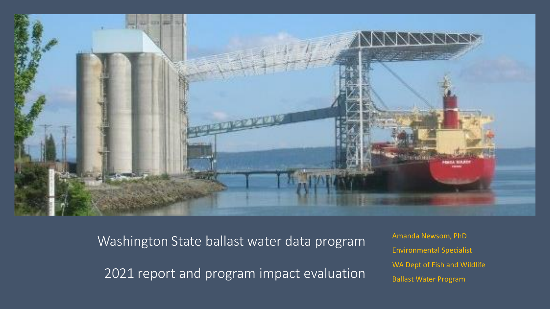

Washington State ballast water data program

2021 report and program impact evaluation

Amanda Newsom, PhD Environmental Specialist WA Dept of Fish and Wildlife Ballast Water Program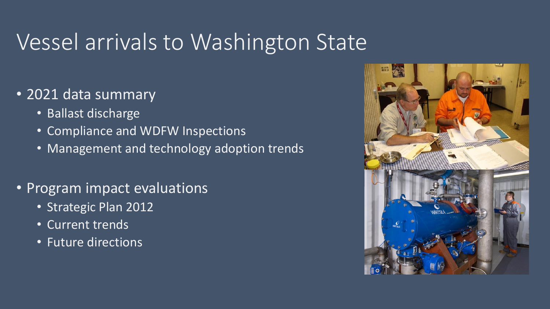# Vessel arrivals to Washington State

- 2021 data summary
	- Ballast discharge
	- Compliance and WDFW Inspections
	- Management and technology adoption trends
- Program impact evaluations
	- Strategic Plan 2012
	- Current trends
	- Future directions

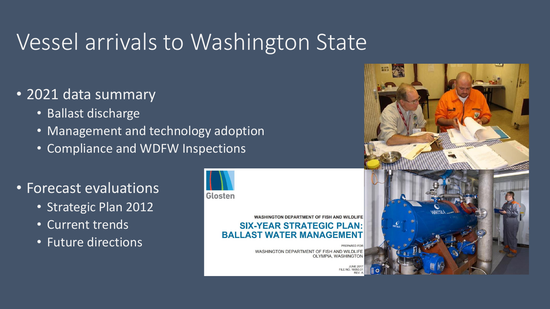# Vessel arrivals to Washington State

- 2021 data summary
	- Ballast discharge
	- Management and technology adoption
	- Compliance and WDFW Inspections
- Forecast evaluations
	- Strategic Plan 2012
	- Current trends
	- Future directions



#### **WASHINGTON DEPARTMENT OF FISH AND WILDLIFE SIX-YEAR STRATEGIC PLAN: BALLAST WATER MANAGEMENT**

WASHINGTON DEPARTMENT OF FISH AND WILDLIFE OLYMPIA, WASHINGTON

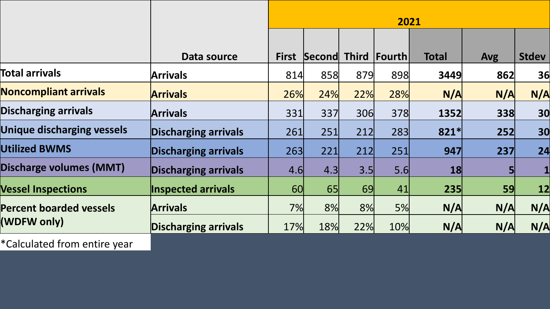|                                               |                             | 2021         |        |              |                 |              |            |              |  |  |
|-----------------------------------------------|-----------------------------|--------------|--------|--------------|-----------------|--------------|------------|--------------|--|--|
|                                               |                             |              |        |              |                 |              |            |              |  |  |
|                                               | Data source                 | <b>First</b> | Second | <b>Third</b> | <b> Fourth </b> | <b>Total</b> | <b>Avg</b> | <b>Stdev</b> |  |  |
| <b>Total arrivals</b>                         | <b>Arrivals</b>             | 814          | 858    | 879          | 898             | 3449         | 862        | 36           |  |  |
| <b>Noncompliant arrivals</b>                  | <b>Arrivals</b>             | 26%          | 24%    | 22%          | 28%             | N/A          | N/A        | N/A          |  |  |
| <b>Discharging arrivals</b>                   | <b>Arrivals</b>             | 331          | 337    | 306          | 378             | 1352         | 338        | 30           |  |  |
| <b>Unique discharging vessels</b>             | <b>Discharging arrivals</b> | 261          | 251    | 212          | 283             | $821*$       | 252        | 30           |  |  |
| <b>Utilized BWMS</b>                          | <b>Discharging arrivals</b> | 263          | 221    | 212          | 251             | 947          | 237        | 24           |  |  |
| <b>Discharge volumes (MMT)</b>                | <b>Discharging arrivals</b> | 4.6          | 4.3    | 3.5          | 5.6             | 18           |            |              |  |  |
| <b>Vessel Inspections</b>                     | <b>Inspected arrivals</b>   | 60           | 65     | 69           | 41              | 235          | 59         | 12           |  |  |
| <b>Percent boarded vessels</b><br>(WDFW only) | <b>Arrivals</b>             | 7%           | 8%     | 8%           | 5%              | N/A          | N/A        | N/A          |  |  |
|                                               | <b>Discharging arrivals</b> | 17%          | 18%    | 22%          | 10%             | N/A          | N/A        | N/A          |  |  |
| *Calculated from entire year                  |                             |              |        |              |                 |              |            |              |  |  |

 $\mathbf{I}$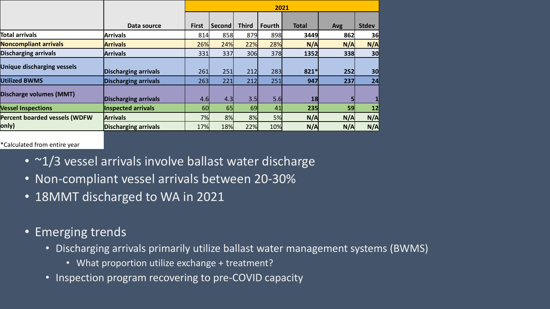|                                      |                             | 2021         |        |              |               |              |            |              |  |  |
|--------------------------------------|-----------------------------|--------------|--------|--------------|---------------|--------------|------------|--------------|--|--|
|                                      |                             |              |        |              |               |              |            |              |  |  |
|                                      | Data source                 | <b>First</b> | Second | <b>Third</b> | <b>Fourth</b> | <b>Total</b> | <b>Avg</b> | <b>Stdev</b> |  |  |
| Total arrivals                       | <b>Arrivals</b>             | 814          | 858    | 879          | 898           | 3449         | 862        | 36           |  |  |
| <b>Noncompliant arrivals</b>         | <b>Arrivals</b>             | 26%          | 24%    | 22%          | 28%           | N/A          | N/A        | N/A          |  |  |
| <b>Discharging arrivals</b>          | <b>Arrivals</b>             | 331          | 337    | 306          | 378           | 1352         | 338        | 30           |  |  |
| <b>Unique discharging vessels</b>    |                             |              |        |              |               |              |            |              |  |  |
|                                      | <b>Discharging arrivals</b> | 261          | 251    | 212          | 283           | $821*$       | 252        | 30           |  |  |
| <b>Utilized BWMS</b>                 | <b>Discharging arrivals</b> | 263          | 221    | 212          | 251           | 947          | 237        | 24           |  |  |
| Discharge volumes (MMT)              |                             |              |        |              |               |              |            |              |  |  |
|                                      | <b>Discharging arrivals</b> | 4.6          | 4.3    | 3.5          | 5.6           | 18           |            |              |  |  |
| <b>Vessel Inspections</b>            | Inspected arrivals          | 60           | 65     | 69           | 41            | 235          | 59         | 12           |  |  |
| <b>Percent boarded vessels (WDFW</b> | <b>Arrivals</b>             | 7%           | 8%     | 8%           | 5%            | N/A          | N/A        | N/A          |  |  |
| only)                                | <b>Discharging arrivals</b> | 17%          | 18%    | 22%          | 10%           | N/A          | N/A        | N/A          |  |  |

\*Calculated from entire year

- ~1/3 vessel arrivals involve ballast water discharge
- Non-compliant vessel arrivals between 20-30%
- 18MMT discharged to WA in 2021
- Emerging trends
	- Discharging arrivals primarily utilize ballast water management systems (BWMS)
		- What proportion utilize exchange + treatment?
	- Inspection program recovering to pre-COVID capacity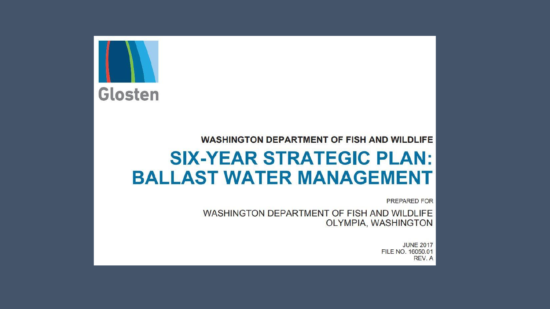

#### **WASHINGTON DEPARTMENT OF FISH AND WILDLIFE**

## **SIX-YEAR STRATEGIC PLAN: BALLAST WATER MANAGEMENT**

**PREPARED FOR** 

WASHINGTON DEPARTMENT OF FISH AND WILDLIFE OLYMPIA, WASHINGTON

> **JUNE 2017** FILE NO. 16050.01 REV. A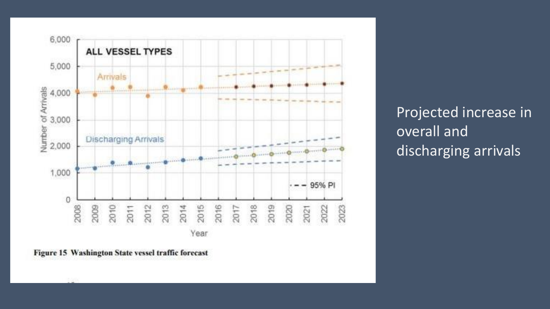

Projected increase in overall and discharging arrivals

Figure 15 Washington State vessel traffic forecast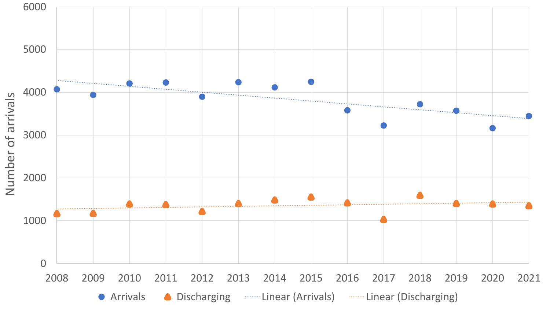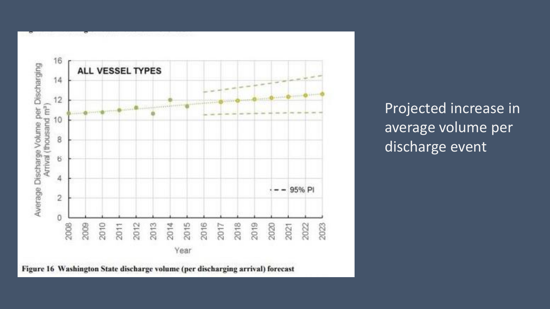

Figure 16 Washington State discharge volume (per discharging arrival) forecast

Projected increase in average volume per discharge event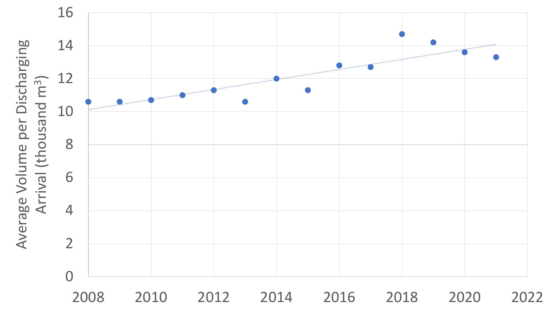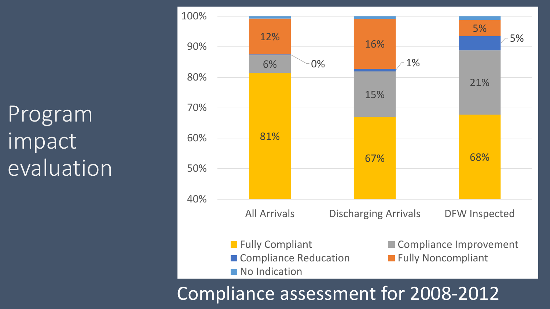Program impact evaluation

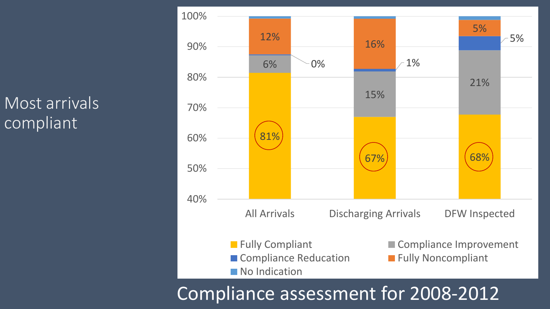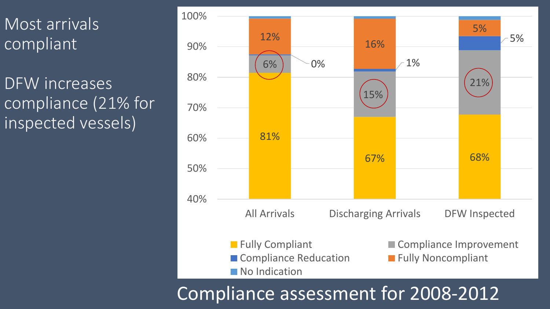DFW increases compliance (21% for inspected vessels)

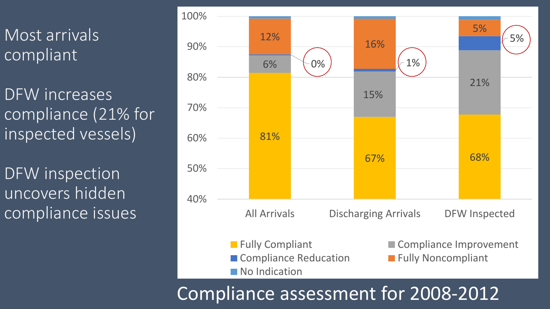DFW increases compliance (21% for inspected vessels)

DFW inspection uncovers hidden compliance issues

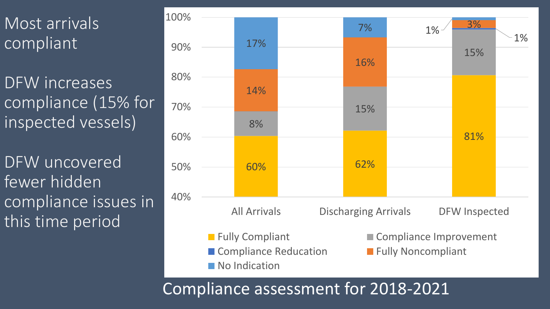DFW increases compliance (15% for inspected vessels)

DFW uncovered fewer hidden compliance issues in this time period